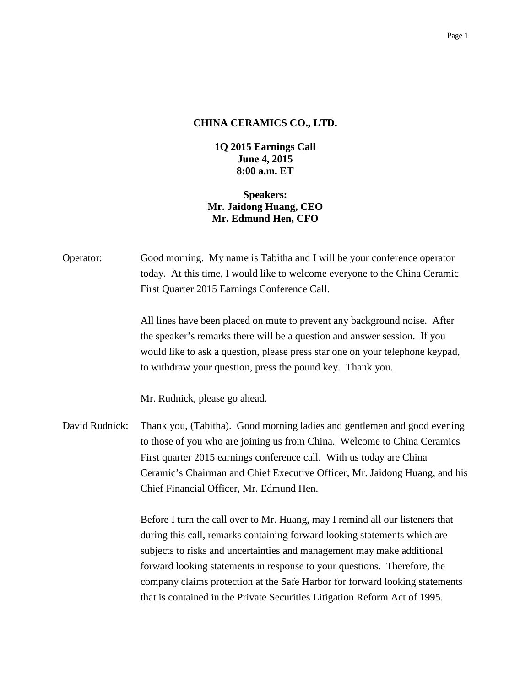## **CHINA CERAMICS CO., LTD.**

**1Q 2015 Earnings Call June 4, 2015 8:00 a.m. ET**

**Speakers: Mr. Jaidong Huang, CEO Mr. Edmund Hen, CFO**

| Operator:      | Good morning. My name is Tabitha and I will be your conference operator<br>today. At this time, I would like to welcome everyone to the China Ceramic<br>First Quarter 2015 Earnings Conference Call.                                                                                                                                                  |  |  |
|----------------|--------------------------------------------------------------------------------------------------------------------------------------------------------------------------------------------------------------------------------------------------------------------------------------------------------------------------------------------------------|--|--|
|                | All lines have been placed on mute to prevent any background noise. After<br>the speaker's remarks there will be a question and answer session. If you<br>would like to ask a question, please press star one on your telephone keypad,<br>to withdraw your question, press the pound key. Thank you.                                                  |  |  |
|                | Mr. Rudnick, please go ahead.                                                                                                                                                                                                                                                                                                                          |  |  |
| David Rudnick: | Thank you, (Tabitha). Good morning ladies and gentlemen and good evening<br>to those of you who are joining us from China. Welcome to China Ceramics<br>First quarter 2015 earnings conference call. With us today are China<br>Ceramic's Chairman and Chief Executive Officer, Mr. Jaidong Huang, and his<br>Chief Financial Officer, Mr. Edmund Hen. |  |  |
|                | Before I turn the call over to Mr. Huang, may I remind all our listeners that<br>during this call, remarks containing forward looking statements which are<br>subjects to risks and uncertainties and management may make additional<br>forward looking statements in response to your questions. Therefore, the                                       |  |  |

company claims protection at the Safe Harbor for forward looking statements

that is contained in the Private Securities Litigation Reform Act of 1995.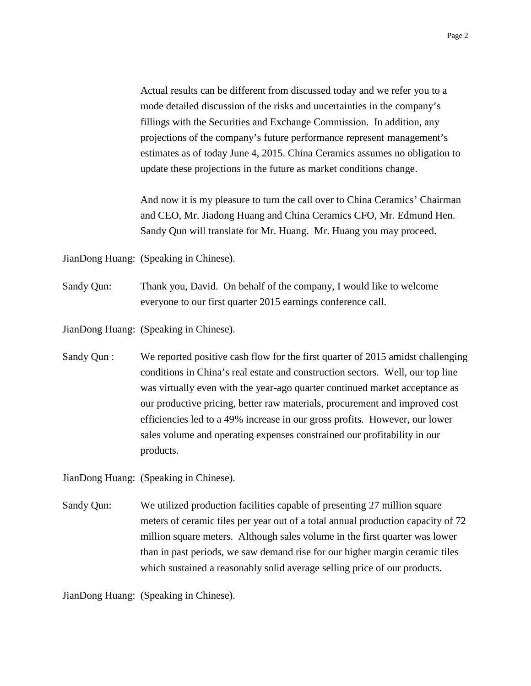Actual results can be different from discussed today and we refer you to a mode detailed discussion of the risks and uncertainties in the company's fillings with the Securities and Exchange Commission. In addition, any projections of the company's future performance represent management's estimates as of today June 4, 2015. China Ceramics assumes no obligation to update these projections in the future as market conditions change.

And now it is my pleasure to turn the call over to China Ceramics' Chairman and CEO, Mr. Jiadong Huang and China Ceramics CFO, Mr. Edmund Hen. Sandy Qun will translate for Mr. Huang. Mr. Huang you may proceed.

JianDong Huang: (Speaking in Chinese).

Sandy Qun: Thank you, David. On behalf of the company, I would like to welcome everyone to our first quarter 2015 earnings conference call.

JianDong Huang: (Speaking in Chinese).

Sandy Qun : We reported positive cash flow for the first quarter of 2015 amidst challenging conditions in China's real estate and construction sectors. Well, our top line was virtually even with the year-ago quarter continued market acceptance as our productive pricing, better raw materials, procurement and improved cost efficiencies led to a 49% increase in our gross profits. However, our lower sales volume and operating expenses constrained our profitability in our products.

JianDong Huang: (Speaking in Chinese).

Sandy Qun: We utilized production facilities capable of presenting 27 million square meters of ceramic tiles per year out of a total annual production capacity of 72 million square meters. Although sales volume in the first quarter was lower than in past periods, we saw demand rise for our higher margin ceramic tiles which sustained a reasonably solid average selling price of our products.

JianDong Huang: (Speaking in Chinese).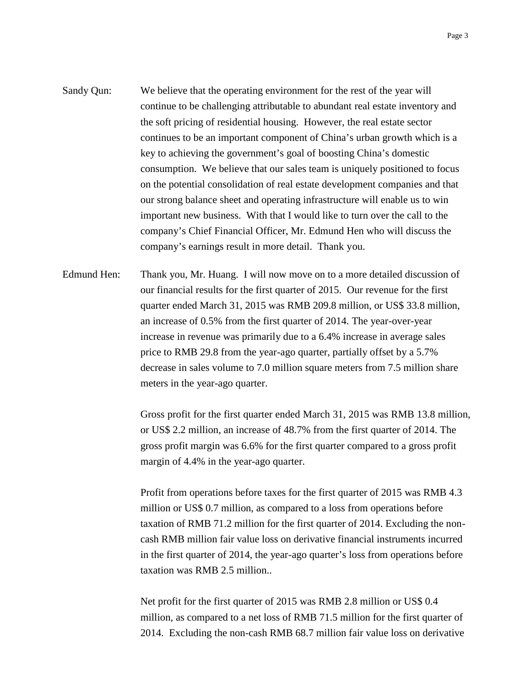- Sandy Qun: We believe that the operating environment for the rest of the year will continue to be challenging attributable to abundant real estate inventory and the soft pricing of residential housing. However, the real estate sector continues to be an important component of China's urban growth which is a key to achieving the government's goal of boosting China's domestic consumption. We believe that our sales team is uniquely positioned to focus on the potential consolidation of real estate development companies and that our strong balance sheet and operating infrastructure will enable us to win important new business. With that I would like to turn over the call to the company's Chief Financial Officer, Mr. Edmund Hen who will discuss the company's earnings result in more detail. Thank you.
- Edmund Hen: Thank you, Mr. Huang. I will now move on to a more detailed discussion of our financial results for the first quarter of 2015. Our revenue for the first quarter ended March 31, 2015 was RMB 209.8 million, or US\$ 33.8 million, an increase of 0.5% from the first quarter of 2014. The year-over-year increase in revenue was primarily due to a 6.4% increase in average sales price to RMB 29.8 from the year-ago quarter, partially offset by a 5.7% decrease in sales volume to 7.0 million square meters from 7.5 million share meters in the year-ago quarter.

Gross profit for the first quarter ended March 31, 2015 was RMB 13.8 million, or US\$ 2.2 million, an increase of 48.7% from the first quarter of 2014. The gross profit margin was 6.6% for the first quarter compared to a gross profit margin of 4.4% in the year-ago quarter.

Profit from operations before taxes for the first quarter of 2015 was RMB 4.3 million or US\$ 0.7 million, as compared to a loss from operations before taxation of RMB 71.2 million for the first quarter of 2014. Excluding the non cash RMB million fair value loss on derivative financial instruments incurred in the first quarter of 2014, the year-ago quarter's loss from operations before taxation was RMB 2.5 million..

Net profit for the first quarter of 2015 was RMB 2.8 million or US\$ 0.4 million, as compared to a net loss of RMB 71.5 million for the first quarter of 2014. Excluding the non-cash RMB 68.7 million fair value loss on derivative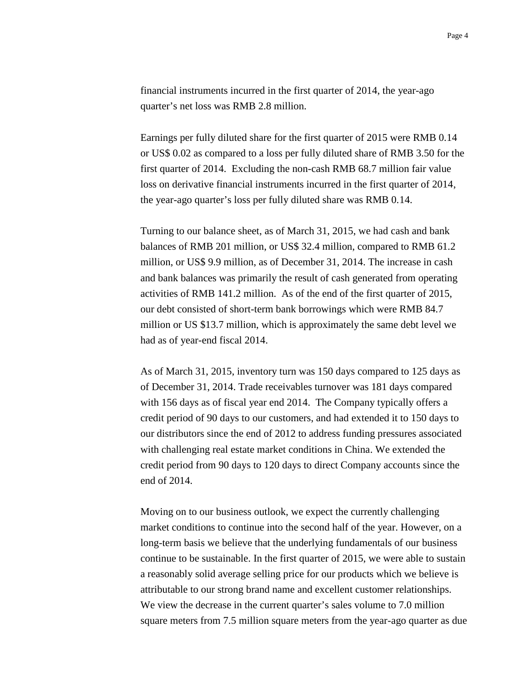financial instruments incurred in the first quarter of 2014, the year-ago quarter's net loss was RMB 2.8 million.

Earnings per fully diluted share for the first quarter of 2015 were RMB 0.14 or US\$ 0.02 as compared to a loss per fully diluted share of RMB 3.50 for the first quarter of 2014. Excluding the non-cash RMB 68.7 million fair value loss on derivative financial instruments incurred in the first quarter of 2014, the year-ago quarter's loss per fully diluted share was RMB 0.14.

Turning to our balance sheet, as of March 31, 2015, we had cash and bank balances of RMB 201 million, or US\$ 32.4 million, compared to RMB 61.2 million, or US\$ 9.9 million, as of December 31, 2014. The increase in cash and bank balances was primarily the result of cash generated from operating activities of RMB 141.2 million. As of the end of the first quarter of 2015, our debt consisted of short-term bank borrowings which were RMB 84.7 million or US \$13.7 million, which is approximately the same debt level we had as of year-end fiscal 2014.

As of March 31, 2015, inventory turn was 150 days compared to 125 days as of December 31, 2014. Trade receivables turnover was 181 days compared with 156 days as of fiscal year end 2014. The Company typically offers a credit period of 90 days to our customers, and had extended it to 150 days to our distributors since the end of 2012 to address funding pressures associated with challenging real estate market conditions in China. We extended the credit period from 90 days to 120 days to direct Company accounts since the end of 2014.

Moving on to our business outlook, we expect the currently challenging market conditions to continue into the second half of the year. However, on a long-term basis we believe that the underlying fundamentals of our business continue to be sustainable. In the first quarter of 2015, we were able to sustain a reasonably solid average selling price for our products which we believe is attributable to our strong brand name and excellent customer relationships. We view the decrease in the current quarter's sales volume to 7.0 million square meters from 7.5 million square meters from the year-ago quarter as due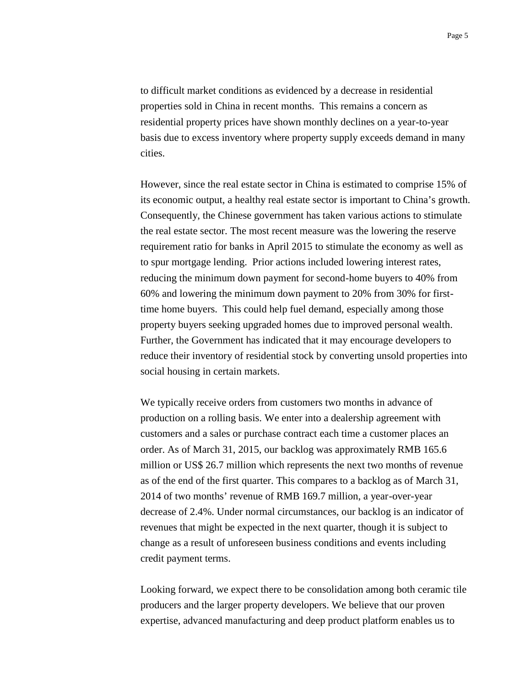to difficult market conditions as evidenced by a decrease in residential properties sold in China in recent months. This remains a concern as residential property prices have shown monthly declines on a year-to-year basis due to excess inventory where property supply exceeds demand in many cities.

However, since the real estate sector in China is estimated to comprise 15% of its economic output, a healthy real estate sector is important to China's growth. Consequently, the Chinese government has taken various actions to stimulate the real estate sector. The most recent measure was the lowering the reserve requirement ratio for banks in April 2015 to stimulate the economy as well as to spur mortgage lending. Prior actions included lowering interest rates, reducing the minimum down payment for second-home buyers to 40% from 60% and lowering the minimum down payment to 20% from 30% for firsttime home buyers. This could help fuel demand, especially among those property buyers seeking upgraded homes due to improved personal wealth. Further, the Government has indicated that it may encourage developers to reduce their inventory of residential stock by converting unsold properties into social housing in certain markets.

We typically receive orders from customers two months in advance of production on a rolling basis. We enter into a dealership agreement with customers and a sales or purchase contract each time a customer places an order. As of March 31, 2015, our backlog was approximately RMB 165.6 million or US\$ 26.7 million which represents the next two months of revenue as of the end of the first quarter. This compares to a backlog as of March 31, 2014 of two months' revenue of RMB 169.7 million, a year-over-year decrease of 2.4%. Under normal circumstances, our backlog is an indicator of revenues that might be expected in the next quarter, though it is subject to change as a result of unforeseen business conditions and events including credit payment terms.

Looking forward, we expect there to be consolidation among both ceramic tile producers and the larger property developers. We believe that our proven expertise, advanced manufacturing and deep product platform enables us to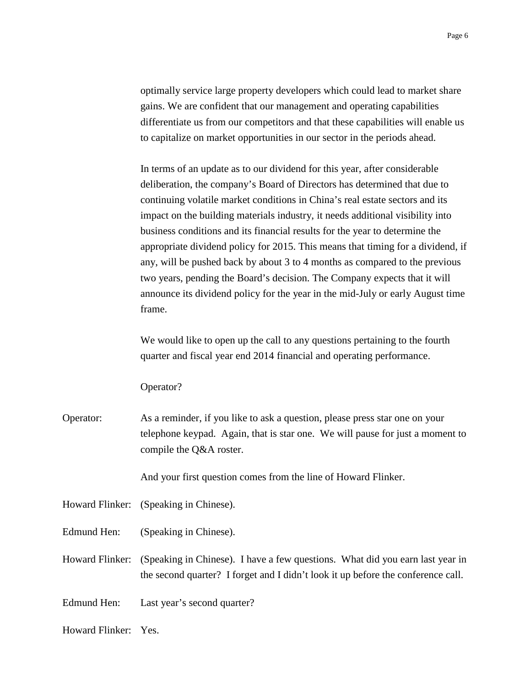optimally service large property developers which could lead to market share gains. We are confident that our management and operating capabilities differentiate us from our competitors and that these capabilities will enable us to capitalize on market opportunities in our sector in the periods ahead.

In terms of an update as to our dividend for this year, after considerable deliberation, the company's Board of Directors has determined that due to continuing volatile market conditions in China's real estate sectors and its impact on the building materials industry, it needs additional visibility into business conditions and its financial results for the year to determine the appropriate dividend policy for 2015. This means that timing for a dividend, if any, will be pushed back by about 3 to 4 months as compared to the previous two years, pending the Board's decision. The Company expects that it will announce its dividend policy for the year in the mid-July or early August time frame.

We would like to open up the call to any questions pertaining to the fourth quarter and fiscal year end 2014 financial and operating performance.

Operator?

Operator: As a reminder, if you like to ask a question, please press star one on your telephone keypad. Again, that is star one. We will pause for just a moment to compile the Q&A roster.

And your first question comes from the line of Howard Flinker.

- Howard Flinker: (Speaking in Chinese).
- Edmund Hen: (Speaking in Chinese).
- Howard Flinker: (Speaking in Chinese). I have a few questions. What did you earn last year in the second quarter? I forget and I didn't look it up before the conference call.
- Edmund Hen: Last year's second quarter?
- Howard Flinker: Yes.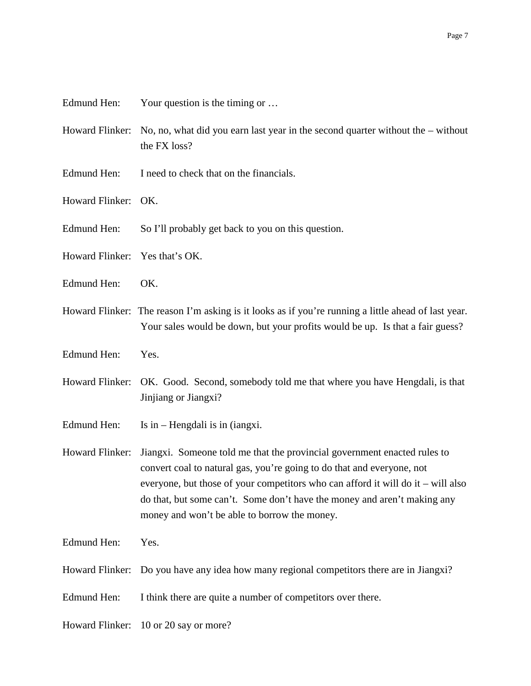| Edmund Hen: | Your question is the timing or $\dots$ |  |
|-------------|----------------------------------------|--|
|-------------|----------------------------------------|--|

- Howard Flinker: No, no, what did you earn last year in the second quarter without the without the FX loss?
- Edmund Hen: I need to check that on the financials.
- Howard Flinker: OK.
- Edmund Hen: So I'll probably get back to you on this question.
- Howard Flinker: Yes that's OK.
- Edmund Hen: OK.
- Howard Flinker: The reason I'm asking is it looks as if you're running a little ahead of last year. Your sales would be down, but your profits would be up. Is that a fair guess?
- Edmund Hen: Yes.
- Howard Flinker: OK. Good. Second, somebody told me that where you have Hengdali, is that Jinjiang or Jiangxi?
- Edmund Hen: Is in Hengdali is in (iangxi.
- Howard Flinker: Jiangxi. Someone told me that the provincial government enacted rules to convert coal to natural gas, you're going to do that and everyone, not everyone, but those of your competitors who can afford it will do it – will also do that, but some can't. Some don't have the money and aren't making any money and won't be able to borrow the money.
- Edmund Hen: Yes.
- Howard Flinker: Do you have any idea how many regional competitors there are in Jiangxi?
- Edmund Hen: I think there are quite a number of competitors over there.
- Howard Flinker: 10 or 20 say or more?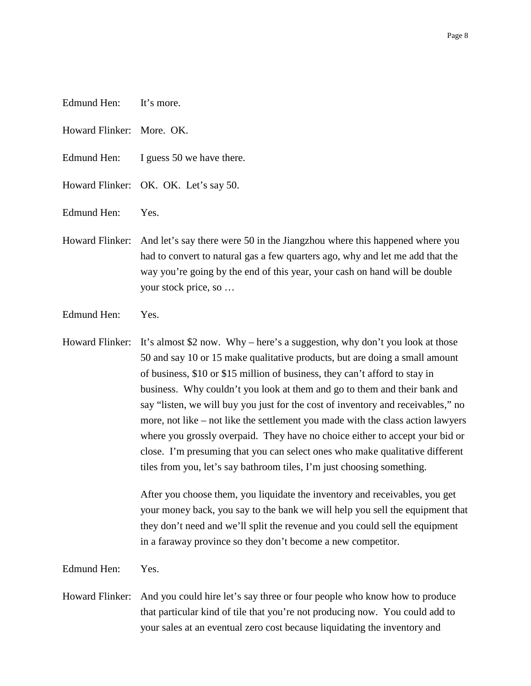- Edmund Hen: It's more.
- Howard Flinker: More. OK.
- Edmund Hen: I guess 50 we have there.
- Howard Flinker: OK. OK. Let's say 50.
- Edmund Hen: Yes.
- Howard Flinker: And let's say there were 50 in the Jiangzhou where this happened where you had to convert to natural gas a few quarters ago, why and let me add that the way you're going by the end of this year, your cash on hand will be double your stock price, so …
- Edmund Hen: Yes.
- Howard Flinker: It's almost \$2 now. Why here's a suggestion, why don't you look at those 50 and say 10 or 15 make qualitative products, but are doing a small amount of business, \$10 or \$15 million of business, they can't afford to stay in business. Why couldn't you look at them and go to them and their bank and say "listen, we will buy you just for the cost of inventory and receivables," no more, not like – not like the settlement you made with the class action lawyers where you grossly overpaid. They have no choice either to accept your bid or close. I'm presuming that you can select ones who make qualitative different tiles from you, let's say bathroom tiles, I'm just choosing something.

After you choose them, you liquidate the inventory and receivables, you get your money back, you say to the bank we will help you sell the equipment that they don't need and we'll split the revenue and you could sell the equipment in a faraway province so they don't become a new competitor.

Edmund Hen: Yes.

Howard Flinker: And you could hire let's say three or four people who know how to produce that particular kind of tile that you're not producing now. You could add to your sales at an eventual zero cost because liquidating the inventory and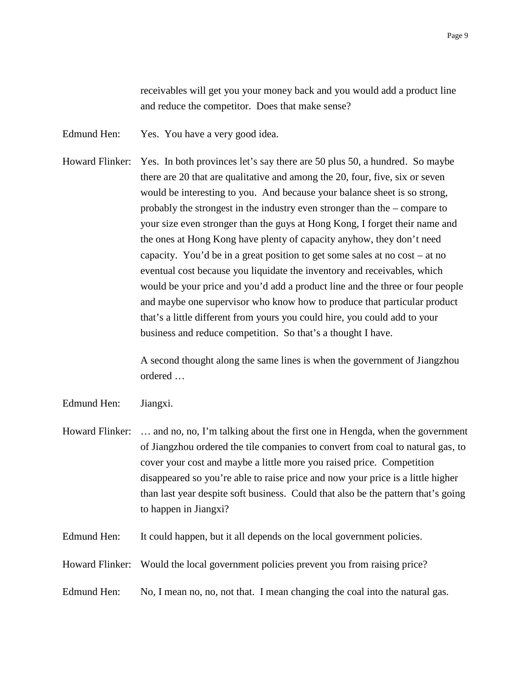receivables will get you your money back and you would add a product line and reduce the competitor. Does that make sense?

Edmund Hen: Yes. You have a very good idea.

Howard Flinker: Yes. In both provinces let's say there are 50 plus 50, a hundred. So maybe there are 20 that are qualitative and among the 20, four, five, six or seven would be interesting to you. And because your balance sheet is so strong, probably the strongest in the industry even stronger than the – compare to your size even stronger than the guys at Hong Kong, I forget their name and the ones at Hong Kong have plenty of capacity anyhow, they don't need capacity. You'd be in a great position to get some sales at no cost – at no eventual cost because you liquidate the inventory and receivables, which would be your price and you'd add a product line and the three or four people and maybe one supervisor who know how to produce that particular product that's a little different from yours you could hire, you could add to your business and reduce competition. So that's a thought I have.

> A second thought along the same lines is when the government of Jiangzhou ordered …

- Edmund Hen: Jiangxi.
- Howard Flinker: … and no, no, I'm talking about the first one in Hengda, when the government of Jiangzhou ordered the tile companies to convert from coal to natural gas, to cover your cost and maybe a little more you raised price. Competition disappeared so you're able to raise price and now your price is a little higher than last year despite soft business. Could that also be the pattern that's going to happen in Jiangxi?
- Edmund Hen: It could happen, but it all depends on the local government policies.
- Howard Flinker: Would the local government policies prevent you from raising price?
- Edmund Hen: No, I mean no, no, not that. I mean changing the coal into the natural gas.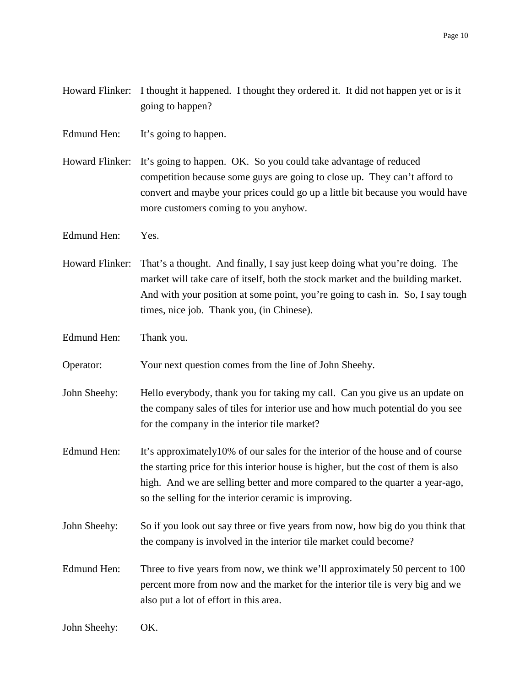- Howard Flinker: I thought it happened. I thought they ordered it. It did not happen yet or is it going to happen?
- Edmund Hen: It's going to happen.
- Howard Flinker: It's going to happen. OK. So you could take advantage of reduced competition because some guys are going to close up. They can't afford to convert and maybe your prices could go up a little bit because you would have more customers coming to you anyhow.
- Edmund Hen: Yes.
- Howard Flinker: That's a thought. And finally, I say just keep doing what you're doing. The market will take care of itself, both the stock market and the building market. And with your position at some point, you're going to cash in. So, I say tough times, nice job. Thank you, (in Chinese).
- Edmund Hen: Thank you.
- Operator: Your next question comes from the line of John Sheehy.
- John Sheehy: Hello everybody, thank you for taking my call. Can you give us an update on the company sales of tiles for interior use and how much potential do you see for the company in the interior tile market?
- Edmund Hen: It's approximately 10% of our sales for the interior of the house and of course the starting price for this interior house is higher, but the cost of them is also high. And we are selling better and more compared to the quarter a year-ago, so the selling for the interior ceramic is improving.
- John Sheehy: So if you look out say three or five years from now, how big do you think that the company is involved in the interior tile market could become?
- Edmund Hen: Three to five years from now, we think we'll approximately 50 percent to 100 percent more from now and the market for the interior tile is very big and we also put a lot of effort in this area.

John Sheehy: OK.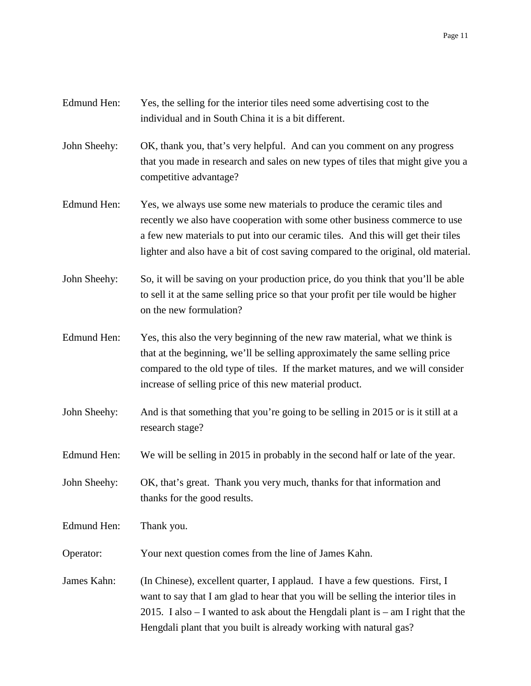## Edmund Hen: Yes, the selling for the interior tiles need some advertising cost to the individual and in South China it is a bit different.

John Sheehy: OK, thank you, that's very helpful. And can you comment on any progress that you made in research and sales on new types of tiles that might give you a competitive advantage?

- Edmund Hen: Yes, we always use some new materials to produce the ceramic tiles and recently we also have cooperation with some other business commerce to use a few new materials to put into our ceramic tiles. And this will get their tiles lighter and also have a bit of cost saving compared to the original, old material.
- John Sheehy: So, it will be saving on your production price, do you think that you'll be able to sell it at the same selling price so that your profit per tile would be higher on the new formulation?
- Edmund Hen: Yes, this also the very beginning of the new raw material, what we think is that at the beginning, we'll be selling approximately the same selling price compared to the old type of tiles. If the market matures, and we will consider increase of selling price of this new material product.
- John Sheehy: And is that something that you're going to be selling in 2015 or is it still at a research stage?
- Edmund Hen: We will be selling in 2015 in probably in the second half or late of the year.
- John Sheehy: OK, that's great. Thank you very much, thanks for that information and thanks for the good results.
- Edmund Hen: Thank you.
- Operator: Your next question comes from the line of James Kahn.
- James Kahn: (In Chinese), excellent quarter, I applaud. I have a few questions. First, I want to say that I am glad to hear that you will be selling the interior tiles in 2015. I also  $-$  I wanted to ask about the Hengdali plant is  $-$  am I right that the Hengdali plant that you built is already working with natural gas?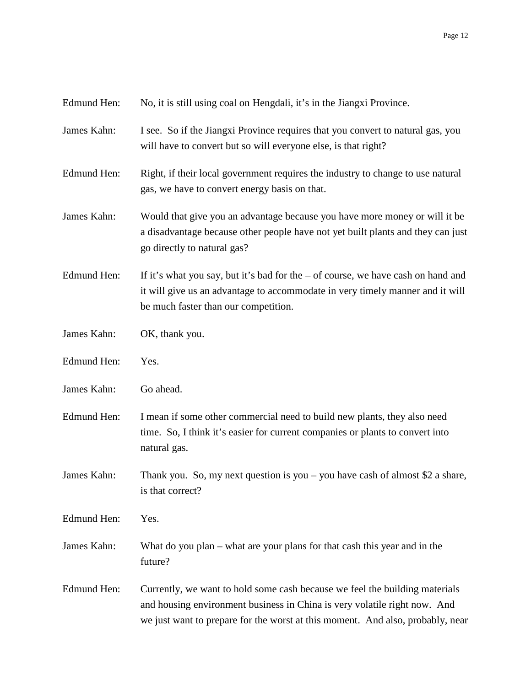| Edmund Hen: |  | No, it is still using coal on Hengdali, it's in the Jiangxi Province. |  |
|-------------|--|-----------------------------------------------------------------------|--|
|             |  |                                                                       |  |

- James Kahn: I see. So if the Jiangxi Province requires that you convert to natural gas, you will have to convert but so will everyone else, is that right?
- Edmund Hen: Right, if their local government requires the industry to change to use natural gas, we have to convert energy basis on that.
- James Kahn: Would that give you an advantage because you have more money or will it be a disadvantage because other people have not yet built plants and they can just go directly to natural gas?
- Edmund Hen: If it's what you say, but it's bad for the  $-$  of course, we have cash on hand and it will give us an advantage to accommodate in very timely manner and it will be much faster than our competition.
- James Kahn: OK, thank you.
- Edmund Hen: Yes.
- James Kahn: Go ahead.
- Edmund Hen: I mean if some other commercial need to build new plants, they also need time. So, I think it's easier for current companies or plants to convert into natural gas.
- James Kahn: Thank you. So, my next question is you you have cash of almost \$2 a share, is that correct?
- Edmund Hen: Yes.
- James Kahn: What do you plan what are your plans for that cash this year and in the future?
- Edmund Hen: Currently, we want to hold some cash because we feel the building materials and housing environment business in China is very volatile right now. And we just want to prepare for the worst at this moment. And also, probably, near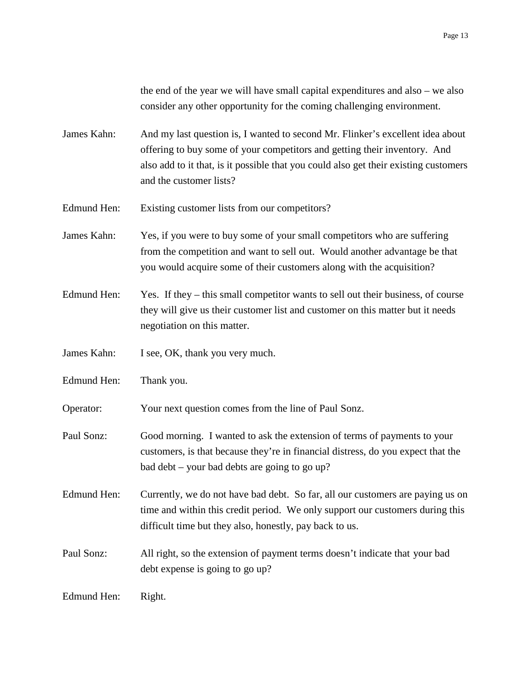the end of the year we will have small capital expenditures and also – we also consider any other opportunity for the coming challenging environment.

James Kahn: And my last question is, I wanted to second Mr. Flinker's excellent idea about offering to buy some of your competitors and getting their inventory. And also add to it that, is it possible that you could also get their existing customers and the customer lists?

Edmund Hen: Existing customer lists from our competitors?

James Kahn: Yes, if you were to buy some of your small competitors who are suffering from the competition and want to sell out. Would another advantage be that you would acquire some of their customers along with the acquisition?

Edmund Hen: Yes. If they – this small competitor wants to sell out their business, of course they will give us their customer list and customer on this matter but it needs negotiation on this matter.

James Kahn: I see, OK, thank you very much.

Edmund Hen: Thank you.

Operator: Your next question comes from the line of Paul Sonz.

Paul Sonz: Good morning. I wanted to ask the extension of terms of payments to your customers, is that because they're in financial distress, do you expect that the bad debt – your bad debts are going to go up?

Edmund Hen: Currently, we do not have bad debt. So far, all our customers are paying us on time and within this credit period. We only support our customers during this difficult time but they also, honestly, pay back to us.

Paul Sonz: All right, so the extension of payment terms doesn't indicate that your bad debt expense is going to go up?

Edmund Hen: Right.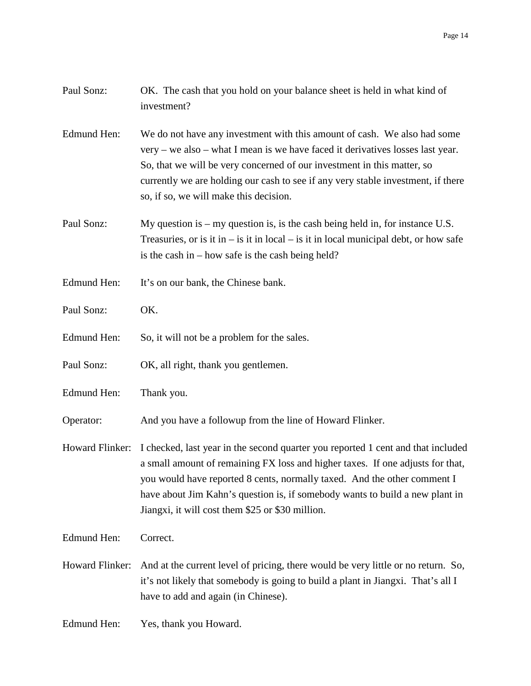## Paul Sonz: OK. The cash that you hold on your balance sheet is held in what kind of investment?

Edmund Hen: We do not have any investment with this amount of cash. We also had some very – we also – what I mean is we have faced it derivatives losses last year. So, that we will be very concerned of our investment in this matter, so currently we are holding our cash to see if any very stable investment, if there so, if so, we will make this decision.

- Paul Sonz: My question is my question is, is the cash being held in, for instance U.S. Treasuries, or is it in – is it in local – is it in local municipal debt, or how safe is the cash in – how safe is the cash being held?
- Edmund Hen: It's on our bank, the Chinese bank.
- Paul Sonz: OK.
- Edmund Hen: So, it will not be a problem for the sales.
- Paul Sonz: OK, all right, thank you gentlemen.
- Edmund Hen: Thank you.

Operator: And you have a followup from the line of Howard Flinker.

Howard Flinker: I checked, last year in the second quarter you reported 1 cent and that included a small amount of remaining FX loss and higher taxes. If one adjusts for that, you would have reported 8 cents, normally taxed. And the other comment I have about Jim Kahn's question is, if somebody wants to build a new plant in Jiangxi, it will cost them \$25 or \$30 million.

- Edmund Hen: Correct.
- Howard Flinker: And at the current level of pricing, there would be very little or no return. So, it's not likely that somebody is going to build a plant in Jiangxi. That's all I have to add and again (in Chinese).
- Edmund Hen: Yes, thank you Howard.